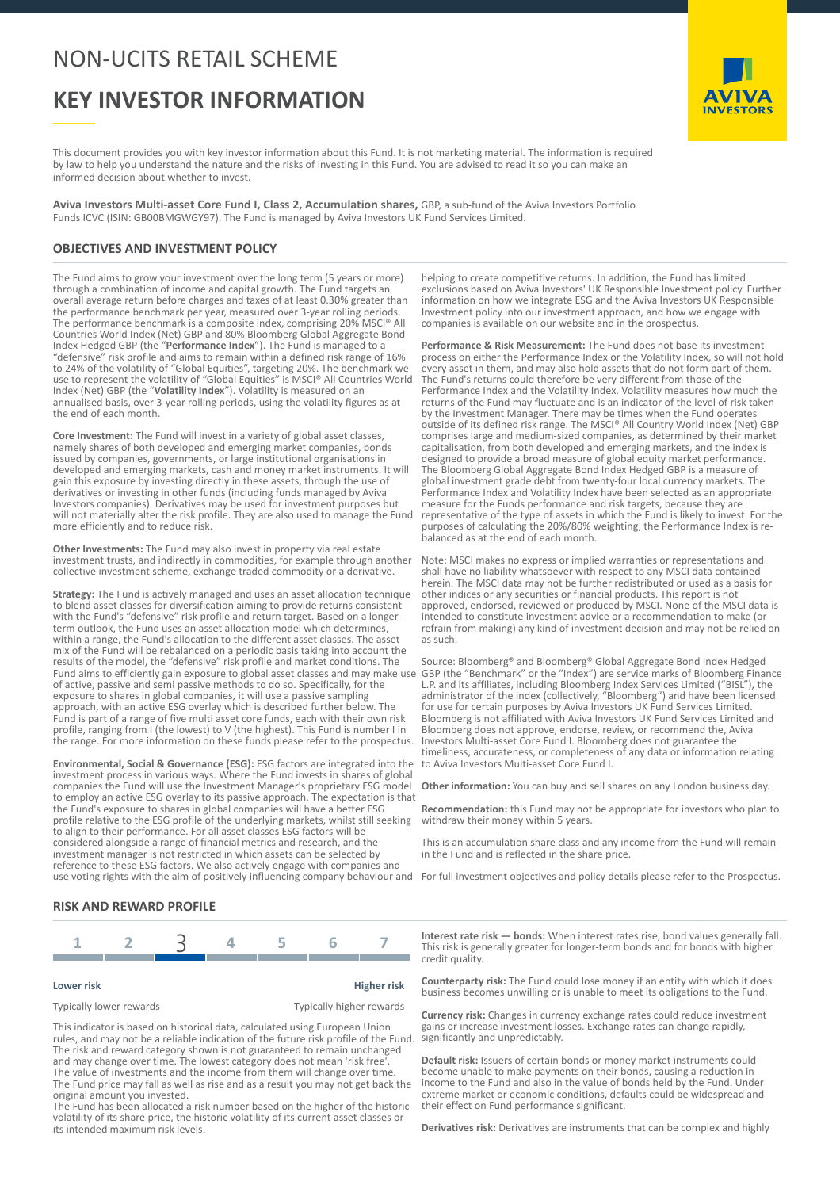## NON-UCITS RETAIL SCHEME

# **KEY INVESTOR INFORMATION**

**INVESTORS** 

This document provides you with key investor information about this Fund. It is not marketing material. The information is required by law to help you understand the nature and the risks of investing in this Fund. You are advised to read it so you can make an informed decision about whether to invest.

**Aviva Investors Multi-asset Core Fund I, Class 2, Accumulation shares,** GBP, a sub-fund of the Aviva Investors Portfolio Funds ICVC (ISIN: GB00BMGWGY97). The Fund is managed by Aviva Investors UK Fund Services Limited.

## **OBJECTIVES AND INVESTMENT POLICY**

The Fund aims to grow your investment over the long term (5 years or more) through a combination of income and capital growth. The Fund targets an overall average return before charges and taxes of at least 0.30% greater than the performance benchmark per year, measured over 3-year rolling periods. The performance benchmark is a composite index, comprising 20% MSCI® All Countries World Index (Net) GBP and 80% Bloomberg Global Aggregate Bond Index Hedged GBP (the "**Performance Index**"). The Fund is managed to a "defensive" risk profile and aims to remain within a defined risk range of 16% to 24% of the volatility of "Global Equities", targeting 20%. The benchmark we use to represent the volatility of "Global Equities" is MSCI® All Countries World Index (Net) GBP (the "**Volatility Index**"). Volatility is measured on an annualised basis, over 3-year rolling periods, using the volatility figures as at the end of each month.

**Core Investment:** The Fund will invest in a variety of global asset classes, namely shares of both developed and emerging market companies, bonds issued by companies, governments, or large institutional organisations in developed and emerging markets, cash and money market instruments. It will gain this exposure by investing directly in these assets, through the use of derivatives or investing in other funds (including funds managed by Aviva Investors companies). Derivatives may be used for investment purposes but will not materially alter the risk profile. They are also used to manage the Fund more efficiently and to reduce risk.

**Other Investments:** The Fund may also invest in property via real estate investment trusts, and indirectly in commodities, for example through another collective investment scheme, exchange traded commodity or a derivative.

**Strategy:** The Fund is actively managed and uses an asset allocation technique to blend asset classes for diversification aiming to provide returns consistent with the Fund's "defensive" risk profile and return target. Based on a longerterm outlook, the Fund uses an asset allocation model which determines, within a range, the Fund's allocation to the different asset classes. The asset mix of the Fund will be rebalanced on a periodic basis taking into account the results of the model, the "defensive" risk profile and market conditions. The Fund aims to efficiently gain exposure to global asset classes and may make use of active, passive and semi passive methods to do so. Specifically, for the exposure to shares in global companies, it will use a passive sampling approach, with an active ESG overlay which is described further below. The Fund is part of a range of five multi asset core funds, each with their own risk profile, ranging from I (the lowest) to V (the highest). This Fund is number I in the range. For more information on these funds please refer to the prospectus.

**Environmental, Social & Governance (ESG):** ESG factors are integrated into the investment process in various ways. Where the Fund invests in shares of global companies the Fund will use the Investment Manager's proprietary ESG model to employ an active ESG overlay to its passive approach. The expectation is that the Fund's exposure to shares in global companies will have a better ESG profile relative to the ESG profile of the underlying markets, whilst still seeking to align to their performance. For all asset classes ESG factors will be considered alongside a range of financial metrics and research, and the investment manager is not restricted in which assets can be selected by reference to these ESG factors. We also actively engage with companies and

helping to create competitive returns. In addition, the Fund has limited exclusions based on Aviva Investors' UK Responsible Investment policy. Further information on how we integrate ESG and the Aviva Investors UK Responsible Investment policy into our investment approach, and how we engage with companies is available on our website and in the prospectus.

**Performance & Risk Measurement:** The Fund does not base its investment process on either the Performance Index or the Volatility Index, so will not hold every asset in them, and may also hold assets that do not form part of them. The Fund's returns could therefore be very different from those of the Performance Index and the Volatility Index. Volatility measures how much the returns of the Fund may fluctuate and is an indicator of the level of risk taken by the Investment Manager. There may be times when the Fund operates outside of its defined risk range. The MSCI® All Country World Index (Net) GBP comprises large and medium-sized companies, as determined by their market capitalisation, from both developed and emerging markets, and the index is designed to provide a broad measure of global equity market performance. The Bloomberg Global Aggregate Bond Index Hedged GBP is a measure of global investment grade debt from twenty-four local currency markets. The Performance Index and Volatility Index have been selected as an appropriate measure for the Funds performance and risk targets, because they are representative of the type of assets in which the Fund is likely to invest. For the purposes of calculating the 20%/80% weighting, the Performance Index is rebalanced as at the end of each month.

Note: MSCI makes no express or implied warranties or representations and shall have no liability whatsoever with respect to any MSCI data contained herein. The MSCI data may not be further redistributed or used as a basis for other indices or any securities or financial products. This report is not approved, endorsed, reviewed or produced by MSCI. None of the MSCI data is intended to constitute investment advice or a recommendation to make (or refrain from making) any kind of investment decision and may not be relied on as such.

Source: Bloomberg® and Bloomberg® Global Aggregate Bond Index Hedged GBP (the "Benchmark" or the "Index") are service marks of Bloomberg Finance L.P. and its affiliates, including Bloomberg Index Services Limited ("BISL"), the administrator of the index (collectively, "Bloomberg") and have been licensed for use for certain purposes by Aviva Investors UK Fund Services Limited. Bloomberg is not affiliated with Aviva Investors UK Fund Services Limited and Bloomberg does not approve, endorse, review, or recommend the, Aviva Investors Multi-asset Core Fund I. Bloomberg does not guarantee the timeliness, accurateness, or completeness of any data or information relating to Aviva Investors Multi-asset Core Fund I.

**Other information:** You can buy and sell shares on any London business day.

**Recommendation:** this Fund may not be appropriate for investors who plan to withdraw their money within 5 years.

This is an accumulation share class and any income from the Fund will remain in the Fund and is reflected in the share price.

use voting rights with the aim of positively influencing company behaviour and For full investment objectives and policy details please refer to the Prospectus.

### **RISK AND REWARD PROFILE**



#### **Lower risk Higher risk**

Typically lower rewards Typically higher rewards

This indicator is based on historical data, calculated using European Union rules, and may not be a reliable indication of the future risk profile of the Fund. The risk and reward category shown is not guaranteed to remain unchanged and may change over time. The lowest category does not mean 'risk free The value of investments and the income from them will change over time. The Fund price may fall as well as rise and as a result you may not get back the original amount you invested.

The Fund has been allocated a risk number based on the higher of the historic volatility of its share price, the historic volatility of its current asset classes or its intended maximum risk levels.

**Interest rate risk — bonds:** When interest rates rise, bond values generally fall. This risk is generally greater for longer-term bonds and for bonds with higher credit quality.

**Counterparty risk:** The Fund could lose money if an entity with which it does business becomes unwilling or is unable to meet its obligations to the Fund.

**Currency risk:** Changes in currency exchange rates could reduce investment gains or increase investment losses. Exchange rates can change rapidly, significantly and unpredictably.

**Default risk:** Issuers of certain bonds or money market instruments could become unable to make payments on their bonds, causing a reduction in income to the Fund and also in the value of bonds held by the Fund. Under extreme market or economic conditions, defaults could be widespread and their effect on Fund performance significant.

**Derivatives risk:** Derivatives are instruments that can be complex and highly